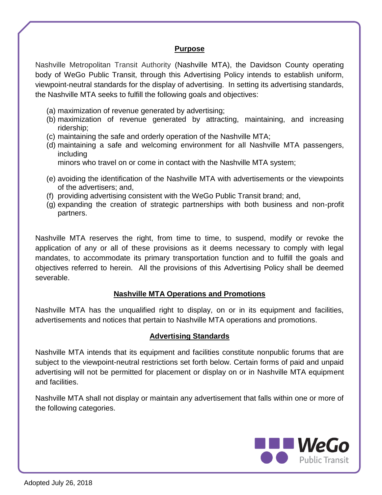## **Purpose**

Nashville Metropolitan Transit Authority (Nashville MTA), the Davidson County operating body of WeGo Public Transit, through this Advertising Policy intends to establish uniform, viewpoint-neutral standards for the display of advertising. In setting its advertising standards, the Nashville MTA seeks to fulfill the following goals and objectives:

- (a) maximization of revenue generated by advertising;
- (b) maximization of revenue generated by attracting, maintaining, and increasing ridership;
- (c) maintaining the safe and orderly operation of the Nashville MTA;
- (d) maintaining a safe and welcoming environment for all Nashville MTA passengers, including

minors who travel on or come in contact with the Nashville MTA system;

- (e) avoiding the identification of the Nashville MTA with advertisements or the viewpoints of the advertisers; and,
- (f) providing advertising consistent with the WeGo Public Transit brand; and,
- (g) expanding the creation of strategic partnerships with both business and non-profit partners.

Nashville MTA reserves the right, from time to time, to suspend, modify or revoke the application of any or all of these provisions as it deems necessary to comply with legal mandates, to accommodate its primary transportation function and to fulfill the goals and objectives referred to herein. All the provisions of this Advertising Policy shall be deemed severable.

## **Nashville MTA Operations and Promotions**

Nashville MTA has the unqualified right to display, on or in its equipment and facilities, advertisements and notices that pertain to Nashville MTA operations and promotions.

## **Advertising Standards**

Nashville MTA intends that its equipment and facilities constitute nonpublic forums that are subject to the viewpoint-neutral restrictions set forth below. Certain forms of paid and unpaid advertising will not be permitted for placement or display on or in Nashville MTA equipment and facilities.

Nashville MTA shall not display or maintain any advertisement that falls within one or more of the following categories.